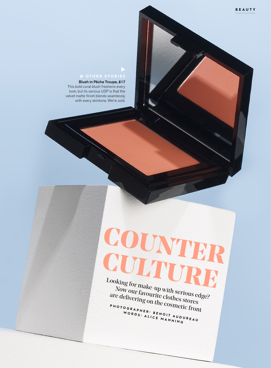### **& OTHER STORIES**

▼

This bold coral blush freshens every look, but its serious USP is that the velvet matte finish blends seamlessly with every skintone. We're sold.

# **Counter Culture**

Looking for make-up with serious edge? Now our favourite clothes stores are delivering on the cosmetic front PHOTOGRAPHER: BENOIT AUDUREAU WORDS: ALICE MANNING